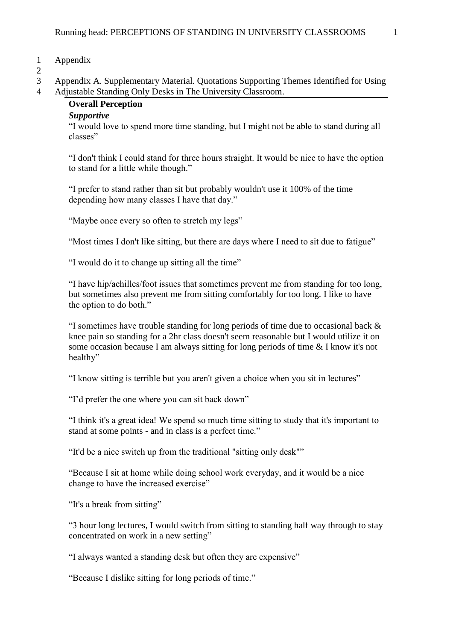#### 1 Appendix

 $\frac{2}{3}$ 

3 Appendix A. Supplementary Material. Quotations Supporting Themes Identified for Using 4 Adjustable Standing Only Desks in The University Classroom.

# **Overall Perception**

#### *Supportive*

"I would love to spend more time standing, but I might not be able to stand during all classes"

"I don't think I could stand for three hours straight. It would be nice to have the option to stand for a little while though."

"I prefer to stand rather than sit but probably wouldn't use it 100% of the time depending how many classes I have that day."

"Maybe once every so often to stretch my legs"

"Most times I don't like sitting, but there are days where I need to sit due to fatigue"

"I would do it to change up sitting all the time"

"I have hip/achilles/foot issues that sometimes prevent me from standing for too long, but sometimes also prevent me from sitting comfortably for too long. I like to have the option to do both."

"I sometimes have trouble standing for long periods of time due to occasional back & knee pain so standing for a 2hr class doesn't seem reasonable but I would utilize it on some occasion because I am always sitting for long periods of time & I know it's not healthy"

"I know sitting is terrible but you aren't given a choice when you sit in lectures"

"I'd prefer the one where you can sit back down"

"I think it's a great idea! We spend so much time sitting to study that it's important to stand at some points - and in class is a perfect time."

"It'd be a nice switch up from the traditional "sitting only desk""

"Because I sit at home while doing school work everyday, and it would be a nice change to have the increased exercise"

"It's a break from sitting"

"3 hour long lectures, I would switch from sitting to standing half way through to stay concentrated on work in a new setting"

"I always wanted a standing desk but often they are expensive"

"Because I dislike sitting for long periods of time."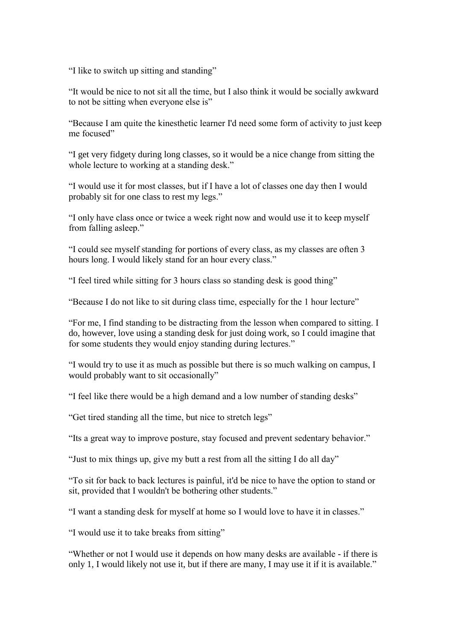"I like to switch up sitting and standing"

"It would be nice to not sit all the time, but I also think it would be socially awkward to not be sitting when everyone else is"

"Because I am quite the kinesthetic learner I'd need some form of activity to just keep me focused"

"I get very fidgety during long classes, so it would be a nice change from sitting the whole lecture to working at a standing desk."

"I would use it for most classes, but if I have a lot of classes one day then I would probably sit for one class to rest my legs."

"I only have class once or twice a week right now and would use it to keep myself from falling asleep."

"I could see myself standing for portions of every class, as my classes are often 3 hours long. I would likely stand for an hour every class."

"I feel tired while sitting for 3 hours class so standing desk is good thing"

"Because I do not like to sit during class time, especially for the 1 hour lecture"

"For me, I find standing to be distracting from the lesson when compared to sitting. I do, however, love using a standing desk for just doing work, so I could imagine that for some students they would enjoy standing during lectures."

"I would try to use it as much as possible but there is so much walking on campus, I would probably want to sit occasionally"

"I feel like there would be a high demand and a low number of standing desks"

"Get tired standing all the time, but nice to stretch legs"

"Its a great way to improve posture, stay focused and prevent sedentary behavior."

"Just to mix things up, give my butt a rest from all the sitting I do all day"

"To sit for back to back lectures is painful, it'd be nice to have the option to stand or sit, provided that I wouldn't be bothering other students."

"I want a standing desk for myself at home so I would love to have it in classes."

"I would use it to take breaks from sitting"

"Whether or not I would use it depends on how many desks are available - if there is only 1, I would likely not use it, but if there are many, I may use it if it is available."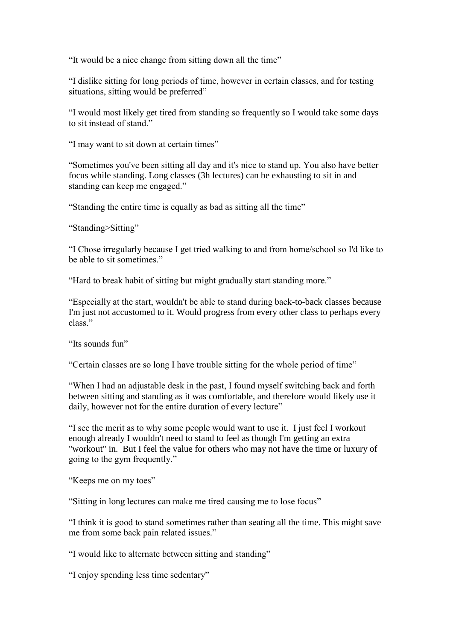"It would be a nice change from sitting down all the time"

"I dislike sitting for long periods of time, however in certain classes, and for testing situations, sitting would be preferred"

"I would most likely get tired from standing so frequently so I would take some days to sit instead of stand."

"I may want to sit down at certain times"

"Sometimes you've been sitting all day and it's nice to stand up. You also have better focus while standing. Long classes (3h lectures) can be exhausting to sit in and standing can keep me engaged."

"Standing the entire time is equally as bad as sitting all the time"

"Standing>Sitting"

"I Chose irregularly because I get tried walking to and from home/school so I'd like to be able to sit sometimes."

"Hard to break habit of sitting but might gradually start standing more."

"Especially at the start, wouldn't be able to stand during back-to-back classes because I'm just not accustomed to it. Would progress from every other class to perhaps every class."

"Its sounds fun"

"Certain classes are so long I have trouble sitting for the whole period of time"

"When I had an adjustable desk in the past, I found myself switching back and forth between sitting and standing as it was comfortable, and therefore would likely use it daily, however not for the entire duration of every lecture"

"I see the merit as to why some people would want to use it. I just feel I workout enough already I wouldn't need to stand to feel as though I'm getting an extra "workout" in. But I feel the value for others who may not have the time or luxury of going to the gym frequently."

"Keeps me on my toes"

"Sitting in long lectures can make me tired causing me to lose focus"

"I think it is good to stand sometimes rather than seating all the time. This might save me from some back pain related issues."

"I would like to alternate between sitting and standing"

"I enjoy spending less time sedentary"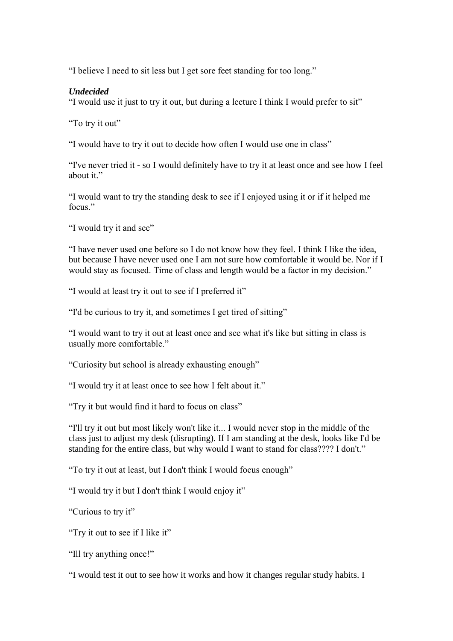"I believe I need to sit less but I get sore feet standing for too long."

## *Undecided*

"I would use it just to try it out, but during a lecture I think I would prefer to sit"

"To try it out"

"I would have to try it out to decide how often I would use one in class"

"I've never tried it - so I would definitely have to try it at least once and see how I feel about it."

"I would want to try the standing desk to see if I enjoyed using it or if it helped me focus"

"I would try it and see"

"I have never used one before so I do not know how they feel. I think I like the idea, but because I have never used one I am not sure how comfortable it would be. Nor if I would stay as focused. Time of class and length would be a factor in my decision."

"I would at least try it out to see if I preferred it"

"I'd be curious to try it, and sometimes I get tired of sitting"

"I would want to try it out at least once and see what it's like but sitting in class is usually more comfortable."

"Curiosity but school is already exhausting enough"

"I would try it at least once to see how I felt about it."

"Try it but would find it hard to focus on class"

"I'll try it out but most likely won't like it... I would never stop in the middle of the class just to adjust my desk (disrupting). If I am standing at the desk, looks like I'd be standing for the entire class, but why would I want to stand for class???? I don't."

"To try it out at least, but I don't think I would focus enough"

"I would try it but I don't think I would enjoy it"

"Curious to try it"

"Try it out to see if I like it"

"Ill try anything once!"

"I would test it out to see how it works and how it changes regular study habits. I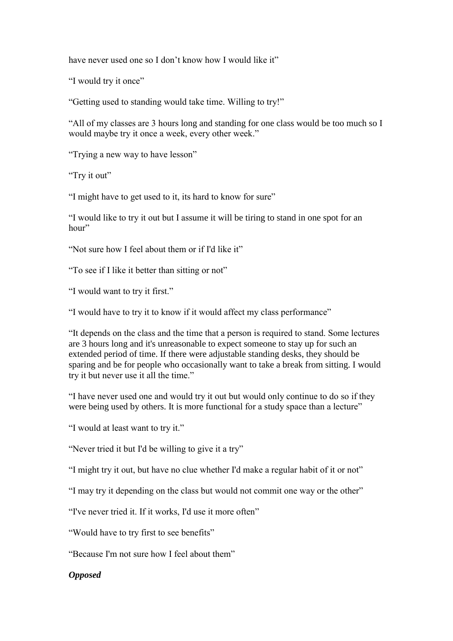have never used one so I don't know how I would like it"

"I would try it once"

"Getting used to standing would take time. Willing to try!"

"All of my classes are 3 hours long and standing for one class would be too much so I would maybe try it once a week, every other week."

"Trying a new way to have lesson"

"Try it out"

"I might have to get used to it, its hard to know for sure"

"I would like to try it out but I assume it will be tiring to stand in one spot for an hour"

"Not sure how I feel about them or if I'd like it"

"To see if I like it better than sitting or not"

"I would want to try it first."

"I would have to try it to know if it would affect my class performance"

"It depends on the class and the time that a person is required to stand. Some lectures are 3 hours long and it's unreasonable to expect someone to stay up for such an extended period of time. If there were adjustable standing desks, they should be sparing and be for people who occasionally want to take a break from sitting. I would try it but never use it all the time."

"I have never used one and would try it out but would only continue to do so if they were being used by others. It is more functional for a study space than a lecture"

"I would at least want to try it."

"Never tried it but I'd be willing to give it a try"

"I might try it out, but have no clue whether I'd make a regular habit of it or not"

"I may try it depending on the class but would not commit one way or the other"

"I've never tried it. If it works, I'd use it more often"

"Would have to try first to see benefits"

"Because I'm not sure how I feel about them"

## *Opposed*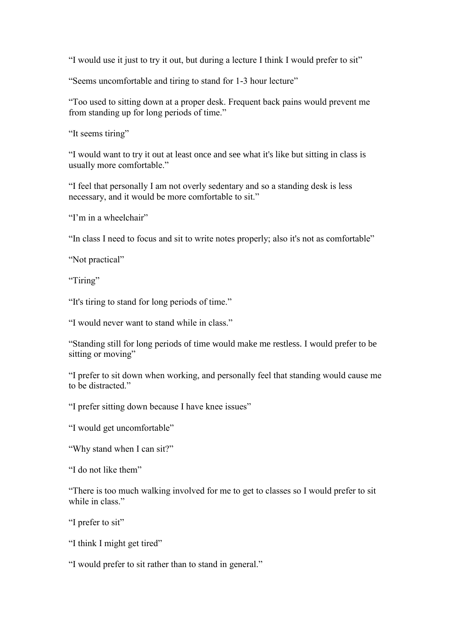"I would use it just to try it out, but during a lecture I think I would prefer to sit"

"Seems uncomfortable and tiring to stand for 1-3 hour lecture"

"Too used to sitting down at a proper desk. Frequent back pains would prevent me from standing up for long periods of time."

"It seems tiring"

"I would want to try it out at least once and see what it's like but sitting in class is usually more comfortable."

"I feel that personally I am not overly sedentary and so a standing desk is less necessary, and it would be more comfortable to sit."

"I'm in a wheelchair"

"In class I need to focus and sit to write notes properly; also it's not as comfortable"

"Not practical"

"Tiring"

"It's tiring to stand for long periods of time."

"I would never want to stand while in class."

"Standing still for long periods of time would make me restless. I would prefer to be sitting or moving"

"I prefer to sit down when working, and personally feel that standing would cause me to be distracted."

"I prefer sitting down because I have knee issues"

"I would get uncomfortable"

"Why stand when I can sit?"

"I do not like them"

"There is too much walking involved for me to get to classes so I would prefer to sit while in class."

"I prefer to sit"

"I think I might get tired"

"I would prefer to sit rather than to stand in general."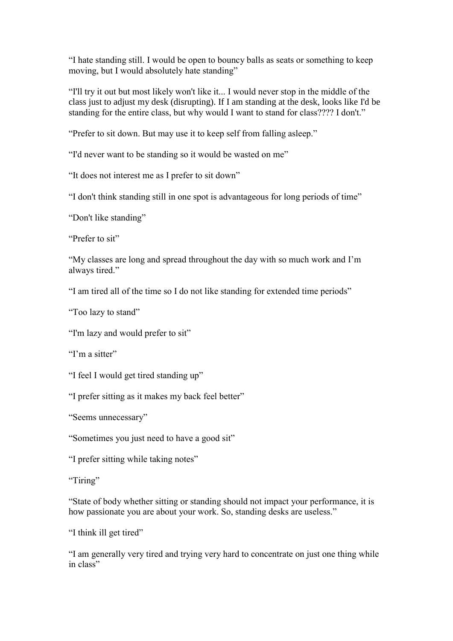"I hate standing still. I would be open to bouncy balls as seats or something to keep moving, but I would absolutely hate standing"

"I'll try it out but most likely won't like it... I would never stop in the middle of the class just to adjust my desk (disrupting). If I am standing at the desk, looks like I'd be standing for the entire class, but why would I want to stand for class???? I don't."

"Prefer to sit down. But may use it to keep self from falling asleep."

"I'd never want to be standing so it would be wasted on me"

"It does not interest me as I prefer to sit down"

"I don't think standing still in one spot is advantageous for long periods of time"

"Don't like standing"

"Prefer to sit"

"My classes are long and spread throughout the day with so much work and I'm always tired."

"I am tired all of the time so I do not like standing for extended time periods"

"Too lazy to stand"

"I'm lazy and would prefer to sit"

"I'm a sitter"

"I feel I would get tired standing up"

"I prefer sitting as it makes my back feel better"

"Seems unnecessary"

"Sometimes you just need to have a good sit"

"I prefer sitting while taking notes"

"Tiring"

"State of body whether sitting or standing should not impact your performance, it is how passionate you are about your work. So, standing desks are useless."

"I think ill get tired"

"I am generally very tired and trying very hard to concentrate on just one thing while in class"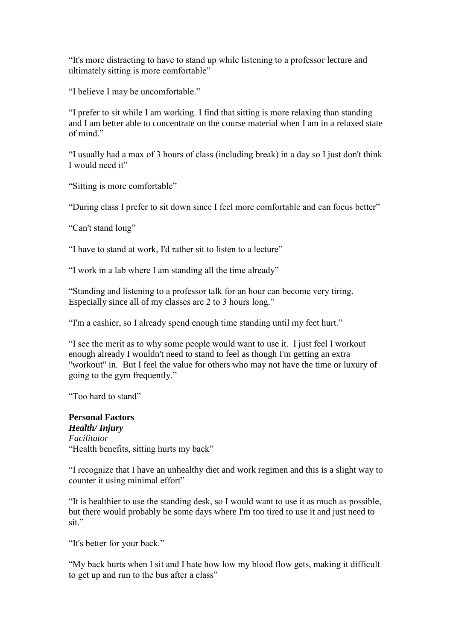"It's more distracting to have to stand up while listening to a professor lecture and ultimately sitting is more comfortable"

"I believe I may be uncomfortable."

"I prefer to sit while I am working. I find that sitting is more relaxing than standing and I am better able to concentrate on the course material when I am in a relaxed state of mind."

"I usually had a max of 3 hours of class (including break) in a day so I just don't think I would need it"

"Sitting is more comfortable"

"During class I prefer to sit down since I feel more comfortable and can focus better"

"Can't stand long"

"I have to stand at work, I'd rather sit to listen to a lecture"

"I work in a lab where I am standing all the time already"

"Standing and listening to a professor talk for an hour can become very tiring. Especially since all of my classes are 2 to 3 hours long."

"I'm a cashier, so I already spend enough time standing until my feet hurt."

"I see the merit as to why some people would want to use it. I just feel I workout enough already I wouldn't need to stand to feel as though I'm getting an extra "workout" in. But I feel the value for others who may not have the time or luxury of going to the gym frequently."

"Too hard to stand"

**Personal Factors** *Health/ Injury Facilitator* "Health benefits, sitting hurts my back"

"I recognize that I have an unhealthy diet and work regimen and this is a slight way to counter it using minimal effort"

"It is healthier to use the standing desk, so I would want to use it as much as possible, but there would probably be some days where I'm too tired to use it and just need to sit."

"It's better for your back."

"My back hurts when I sit and I hate how low my blood flow gets, making it difficult to get up and run to the bus after a class"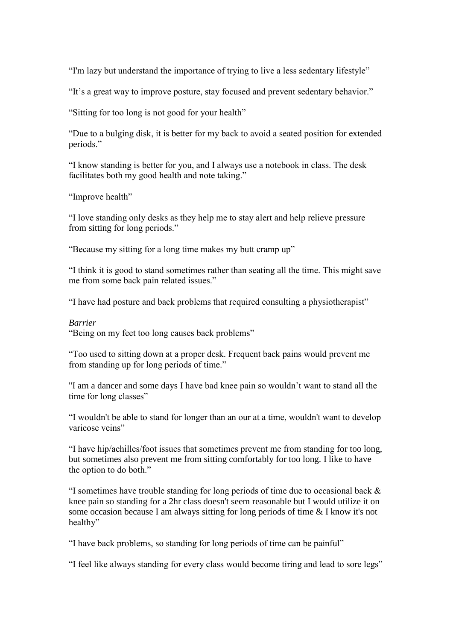"I'm lazy but understand the importance of trying to live a less sedentary lifestyle"

"It's a great way to improve posture, stay focused and prevent sedentary behavior."

"Sitting for too long is not good for your health"

"Due to a bulging disk, it is better for my back to avoid a seated position for extended periods."

"I know standing is better for you, and I always use a notebook in class. The desk facilitates both my good health and note taking."

"Improve health"

"I love standing only desks as they help me to stay alert and help relieve pressure from sitting for long periods."

"Because my sitting for a long time makes my butt cramp up"

"I think it is good to stand sometimes rather than seating all the time. This might save me from some back pain related issues."

"I have had posture and back problems that required consulting a physiotherapist"

#### *Barrier*

"Being on my feet too long causes back problems"

"Too used to sitting down at a proper desk. Frequent back pains would prevent me from standing up for long periods of time."

"I am a dancer and some days I have bad knee pain so wouldn't want to stand all the time for long classes"

"I wouldn't be able to stand for longer than an our at a time, wouldn't want to develop varicose veins"

"I have hip/achilles/foot issues that sometimes prevent me from standing for too long, but sometimes also prevent me from sitting comfortably for too long. I like to have the option to do both."

"I sometimes have trouble standing for long periods of time due to occasional back & knee pain so standing for a 2hr class doesn't seem reasonable but I would utilize it on some occasion because I am always sitting for long periods of time & I know it's not healthy"

"I have back problems, so standing for long periods of time can be painful"

"I feel like always standing for every class would become tiring and lead to sore legs"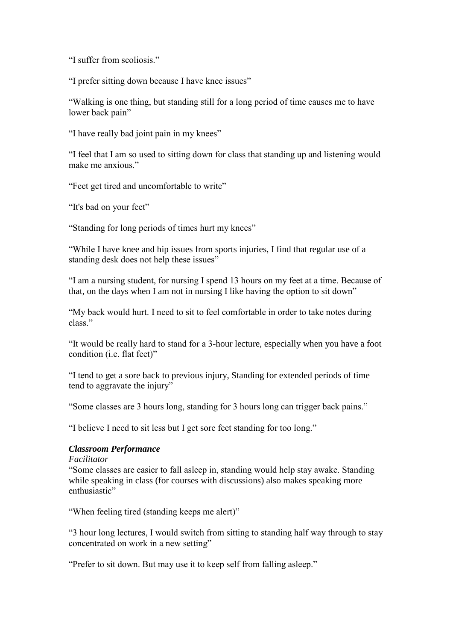"I suffer from scoliosis."

"I prefer sitting down because I have knee issues"

"Walking is one thing, but standing still for a long period of time causes me to have lower back pain"

"I have really bad joint pain in my knees"

"I feel that I am so used to sitting down for class that standing up and listening would make me anxious."

"Feet get tired and uncomfortable to write"

"It's bad on your feet"

"Standing for long periods of times hurt my knees"

"While I have knee and hip issues from sports injuries, I find that regular use of a standing desk does not help these issues"

"I am a nursing student, for nursing I spend 13 hours on my feet at a time. Because of that, on the days when I am not in nursing I like having the option to sit down"

"My back would hurt. I need to sit to feel comfortable in order to take notes during class."

"It would be really hard to stand for a 3-hour lecture, especially when you have a foot condition (i.e. flat feet)"

"I tend to get a sore back to previous injury, Standing for extended periods of time tend to aggravate the injury"

"Some classes are 3 hours long, standing for 3 hours long can trigger back pains."

"I believe I need to sit less but I get sore feet standing for too long."

#### *Classroom Performance*

*Facilitator*

"Some classes are easier to fall asleep in, standing would help stay awake. Standing while speaking in class (for courses with discussions) also makes speaking more enthusiastic"

"When feeling tired (standing keeps me alert)"

"3 hour long lectures, I would switch from sitting to standing half way through to stay concentrated on work in a new setting"

"Prefer to sit down. But may use it to keep self from falling asleep."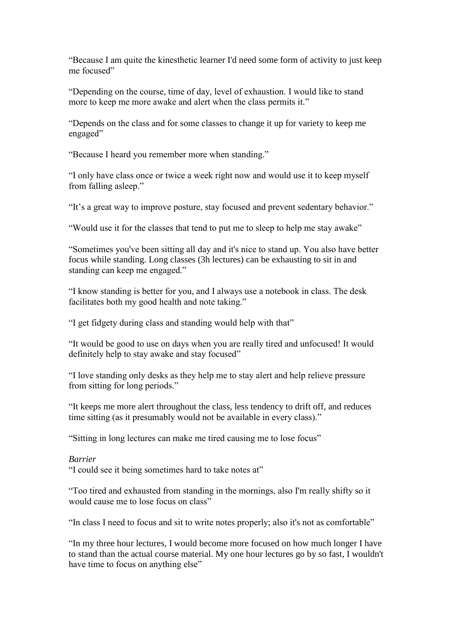"Because I am quite the kinesthetic learner I'd need some form of activity to just keep me focused"

"Depending on the course, time of day, level of exhaustion. I would like to stand more to keep me more awake and alert when the class permits it."

"Depends on the class and for some classes to change it up for variety to keep me engaged"

"Because I heard you remember more when standing."

"I only have class once or twice a week right now and would use it to keep myself from falling asleep."

"It's a great way to improve posture, stay focused and prevent sedentary behavior."

"Would use it for the classes that tend to put me to sleep to help me stay awake"

"Sometimes you've been sitting all day and it's nice to stand up. You also have better focus while standing. Long classes (3h lectures) can be exhausting to sit in and standing can keep me engaged."

"I know standing is better for you, and I always use a notebook in class. The desk facilitates both my good health and note taking."

"I get fidgety during class and standing would help with that"

"It would be good to use on days when you are really tired and unfocused! It would definitely help to stay awake and stay focused"

"I love standing only desks as they help me to stay alert and help relieve pressure from sitting for long periods."

"It keeps me more alert throughout the class, less tendency to drift off, and reduces time sitting (as it presumably would not be available in every class)."

"Sitting in long lectures can make me tired causing me to lose focus"

#### *Barrier*

"I could see it being sometimes hard to take notes at"

"Too tired and exhausted from standing in the mornings, also I'm really shifty so it would cause me to lose focus on class"

"In class I need to focus and sit to write notes properly; also it's not as comfortable"

"In my three hour lectures, I would become more focused on how much longer I have to stand than the actual course material. My one hour lectures go by so fast, I wouldn't have time to focus on anything else"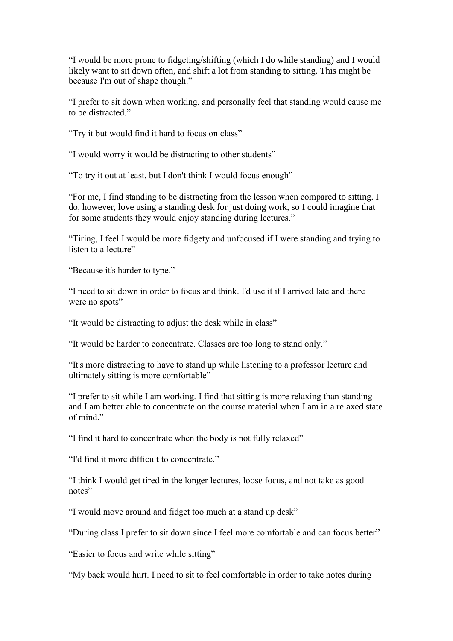"I would be more prone to fidgeting/shifting (which I do while standing) and I would likely want to sit down often, and shift a lot from standing to sitting. This might be because I'm out of shape though."

"I prefer to sit down when working, and personally feel that standing would cause me to be distracted."

"Try it but would find it hard to focus on class"

"I would worry it would be distracting to other students"

"To try it out at least, but I don't think I would focus enough"

"For me, I find standing to be distracting from the lesson when compared to sitting. I do, however, love using a standing desk for just doing work, so I could imagine that for some students they would enjoy standing during lectures."

"Tiring, I feel I would be more fidgety and unfocused if I were standing and trying to listen to a lecture"

"Because it's harder to type."

"I need to sit down in order to focus and think. I'd use it if I arrived late and there were no spots"

"It would be distracting to adjust the desk while in class"

"It would be harder to concentrate. Classes are too long to stand only."

"It's more distracting to have to stand up while listening to a professor lecture and ultimately sitting is more comfortable"

"I prefer to sit while I am working. I find that sitting is more relaxing than standing and I am better able to concentrate on the course material when I am in a relaxed state of mind."

"I find it hard to concentrate when the body is not fully relaxed"

"I'd find it more difficult to concentrate."

"I think I would get tired in the longer lectures, loose focus, and not take as good notes"

"I would move around and fidget too much at a stand up desk"

"During class I prefer to sit down since I feel more comfortable and can focus better"

"Easier to focus and write while sitting"

"My back would hurt. I need to sit to feel comfortable in order to take notes during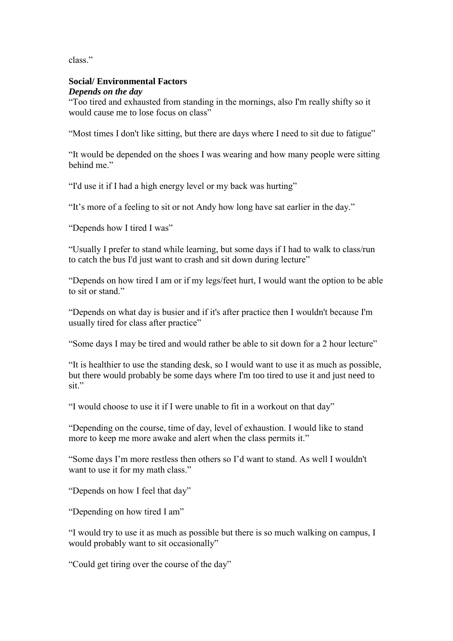class."

#### **Social/ Environmental Factors** *Depends on the day*

"Too tired and exhausted from standing in the mornings, also I'm really shifty so it would cause me to lose focus on class"

"Most times I don't like sitting, but there are days where I need to sit due to fatigue"

"It would be depended on the shoes I was wearing and how many people were sitting behind me."

"I'd use it if I had a high energy level or my back was hurting"

"It's more of a feeling to sit or not Andy how long have sat earlier in the day."

"Depends how I tired I was"

"Usually I prefer to stand while learning, but some days if I had to walk to class/run to catch the bus I'd just want to crash and sit down during lecture"

"Depends on how tired I am or if my legs/feet hurt, I would want the option to be able to sit or stand."

"Depends on what day is busier and if it's after practice then I wouldn't because I'm usually tired for class after practice"

"Some days I may be tired and would rather be able to sit down for a 2 hour lecture"

"It is healthier to use the standing desk, so I would want to use it as much as possible, but there would probably be some days where I'm too tired to use it and just need to sit."

"I would choose to use it if I were unable to fit in a workout on that day"

"Depending on the course, time of day, level of exhaustion. I would like to stand more to keep me more awake and alert when the class permits it."

"Some days I'm more restless then others so I'd want to stand. As well I wouldn't want to use it for my math class."

"Depends on how I feel that day"

"Depending on how tired I am"

"I would try to use it as much as possible but there is so much walking on campus, I would probably want to sit occasionally"

"Could get tiring over the course of the day"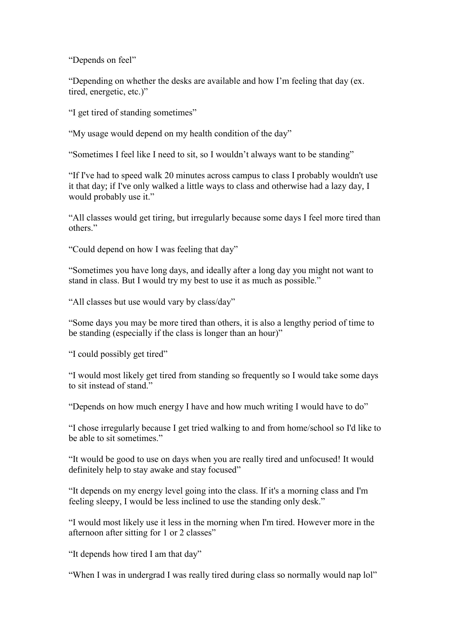"Depends on feel"

"Depending on whether the desks are available and how I'm feeling that day (ex. tired, energetic, etc.)"

"I get tired of standing sometimes"

"My usage would depend on my health condition of the day"

"Sometimes I feel like I need to sit, so I wouldn't always want to be standing"

"If I've had to speed walk 20 minutes across campus to class I probably wouldn't use it that day; if I've only walked a little ways to class and otherwise had a lazy day, I would probably use it."

"All classes would get tiring, but irregularly because some days I feel more tired than others."

"Could depend on how I was feeling that day"

"Sometimes you have long days, and ideally after a long day you might not want to stand in class. But I would try my best to use it as much as possible."

"All classes but use would vary by class/day"

"Some days you may be more tired than others, it is also a lengthy period of time to be standing (especially if the class is longer than an hour)"

"I could possibly get tired"

"I would most likely get tired from standing so frequently so I would take some days to sit instead of stand."

"Depends on how much energy I have and how much writing I would have to do"

"I chose irregularly because I get tried walking to and from home/school so I'd like to be able to sit sometimes."

"It would be good to use on days when you are really tired and unfocused! It would definitely help to stay awake and stay focused"

"It depends on my energy level going into the class. If it's a morning class and I'm feeling sleepy, I would be less inclined to use the standing only desk."

"I would most likely use it less in the morning when I'm tired. However more in the afternoon after sitting for 1 or 2 classes"

"It depends how tired I am that day"

"When I was in undergrad I was really tired during class so normally would nap lol"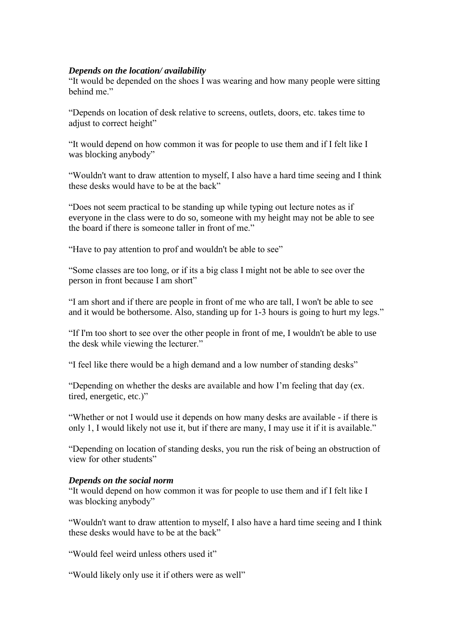#### *Depends on the location/ availability*

"It would be depended on the shoes I was wearing and how many people were sitting behind me."

"Depends on location of desk relative to screens, outlets, doors, etc. takes time to adjust to correct height"

"It would depend on how common it was for people to use them and if I felt like I was blocking anybody"

"Wouldn't want to draw attention to myself, I also have a hard time seeing and I think these desks would have to be at the back"

"Does not seem practical to be standing up while typing out lecture notes as if everyone in the class were to do so, someone with my height may not be able to see the board if there is someone taller in front of me."

"Have to pay attention to prof and wouldn't be able to see"

"Some classes are too long, or if its a big class I might not be able to see over the person in front because I am short"

"I am short and if there are people in front of me who are tall, I won't be able to see and it would be bothersome. Also, standing up for 1-3 hours is going to hurt my legs."

"If I'm too short to see over the other people in front of me, I wouldn't be able to use the desk while viewing the lecturer."

"I feel like there would be a high demand and a low number of standing desks"

"Depending on whether the desks are available and how I'm feeling that day (ex. tired, energetic, etc.)"

"Whether or not I would use it depends on how many desks are available - if there is only 1, I would likely not use it, but if there are many, I may use it if it is available."

"Depending on location of standing desks, you run the risk of being an obstruction of view for other students"

#### *Depends on the social norm*

"It would depend on how common it was for people to use them and if I felt like I was blocking anybody"

"Wouldn't want to draw attention to myself, I also have a hard time seeing and I think these desks would have to be at the back"

"Would feel weird unless others used it"

"Would likely only use it if others were as well"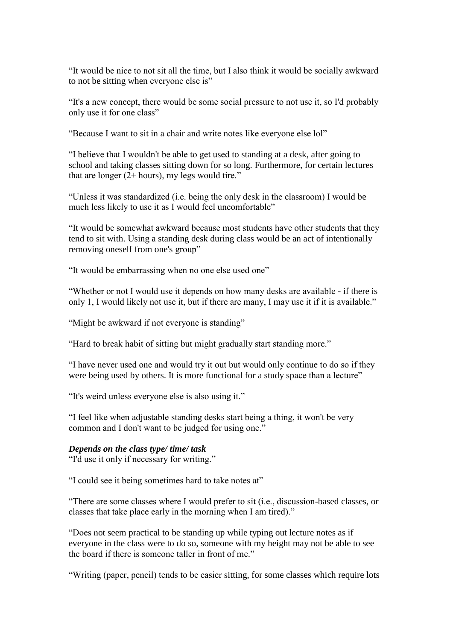"It would be nice to not sit all the time, but I also think it would be socially awkward to not be sitting when everyone else is"

"It's a new concept, there would be some social pressure to not use it, so I'd probably only use it for one class"

"Because I want to sit in a chair and write notes like everyone else lol"

"I believe that I wouldn't be able to get used to standing at a desk, after going to school and taking classes sitting down for so long. Furthermore, for certain lectures that are longer  $(2 + hours)$ , my legs would tire."

"Unless it was standardized (i.e. being the only desk in the classroom) I would be much less likely to use it as I would feel uncomfortable"

"It would be somewhat awkward because most students have other students that they tend to sit with. Using a standing desk during class would be an act of intentionally removing oneself from one's group"

"It would be embarrassing when no one else used one"

"Whether or not I would use it depends on how many desks are available - if there is only 1, I would likely not use it, but if there are many, I may use it if it is available."

"Might be awkward if not everyone is standing"

"Hard to break habit of sitting but might gradually start standing more."

"I have never used one and would try it out but would only continue to do so if they were being used by others. It is more functional for a study space than a lecture"

"It's weird unless everyone else is also using it."

"I feel like when adjustable standing desks start being a thing, it won't be very common and I don't want to be judged for using one."

#### *Depends on the class type/ time/ task*

"I'd use it only if necessary for writing."

"I could see it being sometimes hard to take notes at"

"There are some classes where I would prefer to sit (i.e., discussion-based classes, or classes that take place early in the morning when I am tired)."

"Does not seem practical to be standing up while typing out lecture notes as if everyone in the class were to do so, someone with my height may not be able to see the board if there is someone taller in front of me."

"Writing (paper, pencil) tends to be easier sitting, for some classes which require lots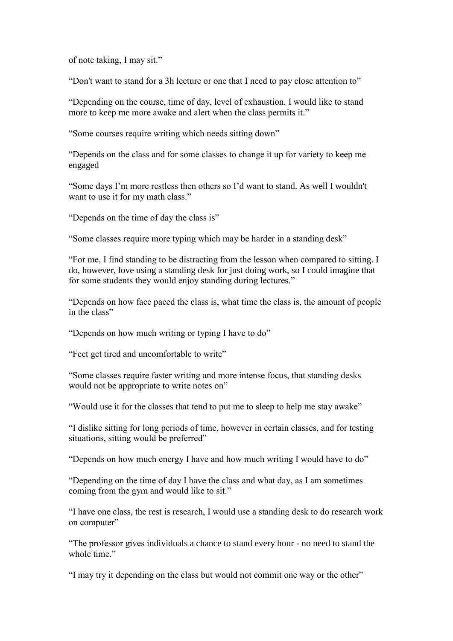of note taking, I may sit."

"Don't want to stand for a 3h lecture or one that I need to pay close attention to"

"Depending on the course, time of day, level of exhaustion. I would like to stand more to keep me more awake and alert when the class permits it."

"Some courses require writing which needs sitting down"

"Depends on the class and for some classes to change it up for variety to keep me engaged

"Some days I'm more restless then others so I'd want to stand. As well I wouldn't want to use it for my math class."

"Depends on the time of day the class is"

"Some classes require more typing which may be harder in a standing desk"

"For me, I find standing to be distracting from the lesson when compared to sitting. I do, however, love using a standing desk for just doing work, so I could imagine that for some students they would enjoy standing during lectures."

"Depends on how face paced the class is, what time the class is, the amount of people in the class"

"Depends on how much writing or typing I have to do"

"Feet get tired and uncomfortable to write"

"Some classes require faster writing and more intense focus, that standing desks would not be appropriate to write notes on"

"Would use it for the classes that tend to put me to sleep to help me stay awake"

"I dislike sitting for long periods of time, however in certain classes, and for testing situations, sitting would be preferred"

"Depends on how much energy I have and how much writing I would have to do"

"Depending on the time of day I have the class and what day, as I am sometimes coming from the gym and would like to sit."

"I have one class, the rest is research, I would use a standing desk to do research work on computer"

"The professor gives individuals a chance to stand every hour - no need to stand the whole time."

"I may try it depending on the class but would not commit one way or the other"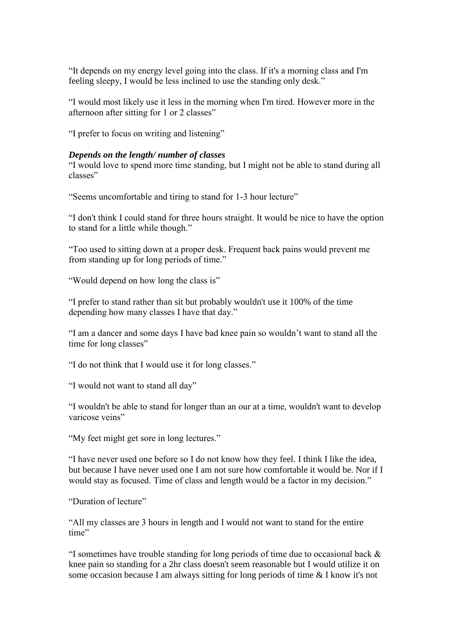"It depends on my energy level going into the class. If it's a morning class and I'm feeling sleepy, I would be less inclined to use the standing only desk."

"I would most likely use it less in the morning when I'm tired. However more in the afternoon after sitting for 1 or 2 classes"

"I prefer to focus on writing and listening"

#### *Depends on the length/ number of classes*

"I would love to spend more time standing, but I might not be able to stand during all classes"

"Seems uncomfortable and tiring to stand for 1-3 hour lecture"

"I don't think I could stand for three hours straight. It would be nice to have the option to stand for a little while though."

"Too used to sitting down at a proper desk. Frequent back pains would prevent me from standing up for long periods of time."

"Would depend on how long the class is"

"I prefer to stand rather than sit but probably wouldn't use it 100% of the time depending how many classes I have that day."

"I am a dancer and some days I have bad knee pain so wouldn't want to stand all the time for long classes"

"I do not think that I would use it for long classes."

"I would not want to stand all day"

"I wouldn't be able to stand for longer than an our at a time, wouldn't want to develop varicose veins"

"My feet might get sore in long lectures."

"I have never used one before so I do not know how they feel. I think I like the idea, but because I have never used one I am not sure how comfortable it would be. Nor if I would stay as focused. Time of class and length would be a factor in my decision."

"Duration of lecture"

"All my classes are 3 hours in length and I would not want to stand for the entire time"

"I sometimes have trouble standing for long periods of time due to occasional back & knee pain so standing for a 2hr class doesn't seem reasonable but I would utilize it on some occasion because I am always sitting for long periods of time & I know it's not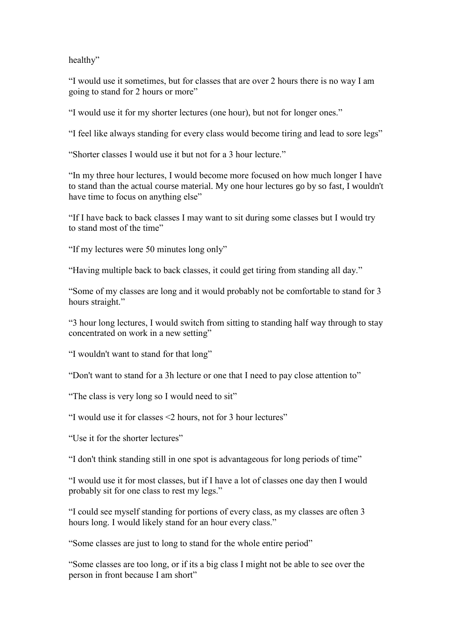healthy"

"I would use it sometimes, but for classes that are over 2 hours there is no way I am going to stand for 2 hours or more"

"I would use it for my shorter lectures (one hour), but not for longer ones."

"I feel like always standing for every class would become tiring and lead to sore legs"

"Shorter classes I would use it but not for a 3 hour lecture."

"In my three hour lectures, I would become more focused on how much longer I have to stand than the actual course material. My one hour lectures go by so fast, I wouldn't have time to focus on anything else"

"If I have back to back classes I may want to sit during some classes but I would try to stand most of the time"

"If my lectures were 50 minutes long only"

"Having multiple back to back classes, it could get tiring from standing all day."

"Some of my classes are long and it would probably not be comfortable to stand for 3 hours straight."

"3 hour long lectures, I would switch from sitting to standing half way through to stay concentrated on work in a new setting"

"I wouldn't want to stand for that long"

"Don't want to stand for a 3h lecture or one that I need to pay close attention to"

"The class is very long so I would need to sit"

"I would use it for classes <2 hours, not for 3 hour lectures"

"Use it for the shorter lectures"

"I don't think standing still in one spot is advantageous for long periods of time"

"I would use it for most classes, but if I have a lot of classes one day then I would probably sit for one class to rest my legs."

"I could see myself standing for portions of every class, as my classes are often 3 hours long. I would likely stand for an hour every class."

"Some classes are just to long to stand for the whole entire period"

"Some classes are too long, or if its a big class I might not be able to see over the person in front because I am short"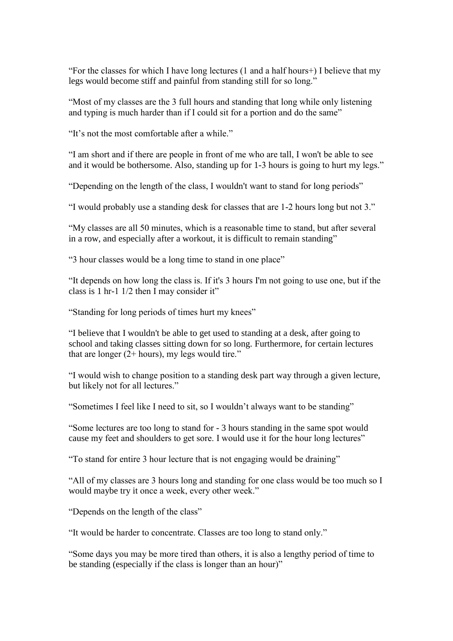"For the classes for which I have long lectures (1 and a half hours+) I believe that my legs would become stiff and painful from standing still for so long."

"Most of my classes are the 3 full hours and standing that long while only listening and typing is much harder than if I could sit for a portion and do the same"

"It's not the most comfortable after a while."

"I am short and if there are people in front of me who are tall, I won't be able to see and it would be bothersome. Also, standing up for 1-3 hours is going to hurt my legs."

"Depending on the length of the class, I wouldn't want to stand for long periods"

"I would probably use a standing desk for classes that are 1-2 hours long but not 3."

"My classes are all 50 minutes, which is a reasonable time to stand, but after several in a row, and especially after a workout, it is difficult to remain standing"

"3 hour classes would be a long time to stand in one place"

"It depends on how long the class is. If it's 3 hours I'm not going to use one, but if the class is 1 hr-1 1/2 then I may consider it"

"Standing for long periods of times hurt my knees"

"I believe that I wouldn't be able to get used to standing at a desk, after going to school and taking classes sitting down for so long. Furthermore, for certain lectures that are longer  $(2 + hours)$ , my legs would tire."

"I would wish to change position to a standing desk part way through a given lecture, but likely not for all lectures."

"Sometimes I feel like I need to sit, so I wouldn't always want to be standing"

"Some lectures are too long to stand for - 3 hours standing in the same spot would cause my feet and shoulders to get sore. I would use it for the hour long lectures"

"To stand for entire 3 hour lecture that is not engaging would be draining"

"All of my classes are 3 hours long and standing for one class would be too much so I would maybe try it once a week, every other week."

"Depends on the length of the class"

"It would be harder to concentrate. Classes are too long to stand only."

"Some days you may be more tired than others, it is also a lengthy period of time to be standing (especially if the class is longer than an hour)"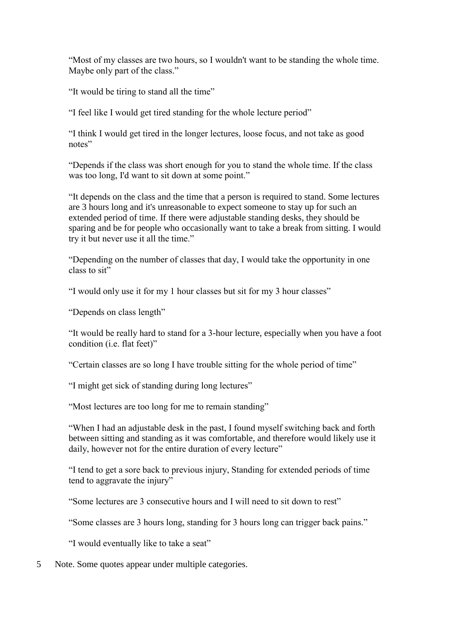"Most of my classes are two hours, so I wouldn't want to be standing the whole time. Maybe only part of the class."

"It would be tiring to stand all the time"

"I feel like I would get tired standing for the whole lecture period"

"I think I would get tired in the longer lectures, loose focus, and not take as good notes"

"Depends if the class was short enough for you to stand the whole time. If the class was too long, I'd want to sit down at some point."

"It depends on the class and the time that a person is required to stand. Some lectures are 3 hours long and it's unreasonable to expect someone to stay up for such an extended period of time. If there were adjustable standing desks, they should be sparing and be for people who occasionally want to take a break from sitting. I would try it but never use it all the time."

"Depending on the number of classes that day, I would take the opportunity in one class to sit"

"I would only use it for my 1 hour classes but sit for my 3 hour classes"

"Depends on class length"

"It would be really hard to stand for a 3-hour lecture, especially when you have a foot condition (i.e. flat feet)"

"Certain classes are so long I have trouble sitting for the whole period of time"

"I might get sick of standing during long lectures"

"Most lectures are too long for me to remain standing"

"When I had an adjustable desk in the past, I found myself switching back and forth between sitting and standing as it was comfortable, and therefore would likely use it daily, however not for the entire duration of every lecture"

"I tend to get a sore back to previous injury, Standing for extended periods of time tend to aggravate the injury"

"Some lectures are 3 consecutive hours and I will need to sit down to rest"

"Some classes are 3 hours long, standing for 3 hours long can trigger back pains."

"I would eventually like to take a seat"

5 Note. Some quotes appear under multiple categories.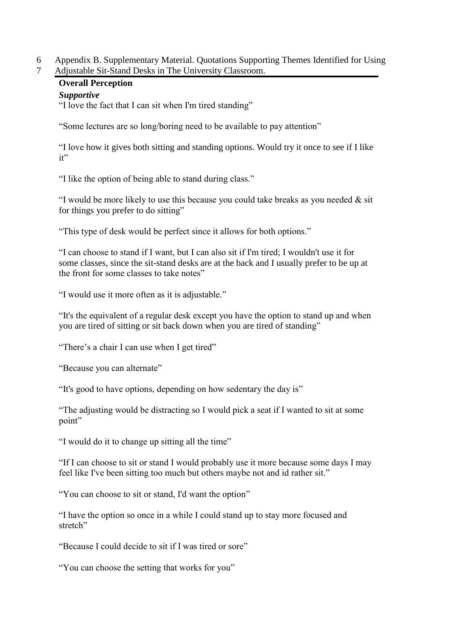6 Appendix B. Supplementary Material. Quotations Supporting Themes Identified for Using 7 Adjustable Sit-Stand Desks in The University Classroom.

## **Overall Perception**

## *Supportive*

"I love the fact that I can sit when I'm tired standing"

"Some lectures are so long/boring need to be available to pay attention"

"I love how it gives both sitting and standing options. Would try it once to see if I like it"

"I like the option of being able to stand during class."

"I would be more likely to use this because you could take breaks as you needed  $\&$  sit for things you prefer to do sitting"

"This type of desk would be perfect since it allows for both options."

"I can choose to stand if I want, but I can also sit if I'm tired; I wouldn't use it for some classes, since the sit-stand desks are at the back and I usually prefer to be up at the front for some classes to take notes"

"I would use it more often as it is adjustable."

"It's the equivalent of a regular desk except you have the option to stand up and when you are tired of sitting or sit back down when you are tired of standing"

"There's a chair I can use when I get tired"

"Because you can alternate"

"It's good to have options, depending on how sedentary the day is"

"The adjusting would be distracting so I would pick a seat if I wanted to sit at some point"

"I would do it to change up sitting all the time"

"If I can choose to sit or stand I would probably use it more because some days I may feel like I've been sitting too much but others maybe not and id rather sit."

"You can choose to sit or stand, I'd want the option"

"I have the option so once in a while I could stand up to stay more focused and stretch"

"Because I could decide to sit if I was tired or sore"

"You can choose the setting that works for you"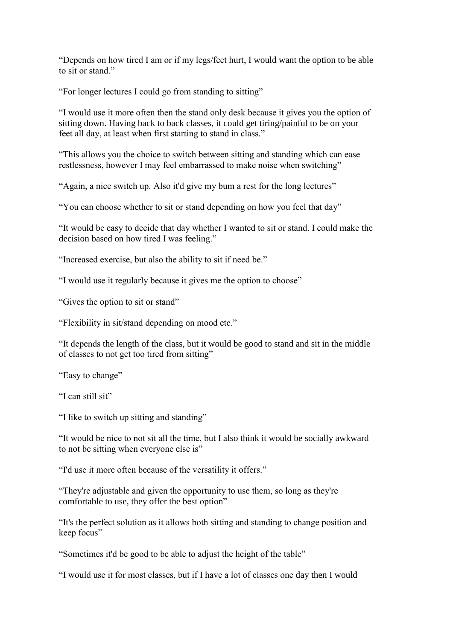"Depends on how tired I am or if my legs/feet hurt, I would want the option to be able to sit or stand."

"For longer lectures I could go from standing to sitting"

"I would use it more often then the stand only desk because it gives you the option of sitting down. Having back to back classes, it could get tiring/painful to be on your feet all day, at least when first starting to stand in class."

"This allows you the choice to switch between sitting and standing which can ease restlessness, however I may feel embarrassed to make noise when switching"

"Again, a nice switch up. Also it'd give my bum a rest for the long lectures"

"You can choose whether to sit or stand depending on how you feel that day"

"It would be easy to decide that day whether I wanted to sit or stand. I could make the decision based on how tired I was feeling."

"Increased exercise, but also the ability to sit if need be."

"I would use it regularly because it gives me the option to choose"

"Gives the option to sit or stand"

"Flexibility in sit/stand depending on mood etc."

"It depends the length of the class, but it would be good to stand and sit in the middle of classes to not get too tired from sitting"

"Easy to change"

"I can still sit"

"I like to switch up sitting and standing"

"It would be nice to not sit all the time, but I also think it would be socially awkward to not be sitting when everyone else is"

"I'd use it more often because of the versatility it offers."

"They're adjustable and given the opportunity to use them, so long as they're comfortable to use, they offer the best option"

"It's the perfect solution as it allows both sitting and standing to change position and keep focus"

"Sometimes it'd be good to be able to adjust the height of the table"

"I would use it for most classes, but if I have a lot of classes one day then I would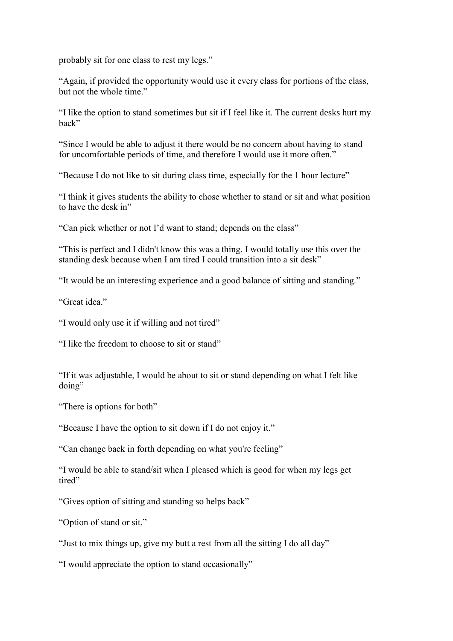probably sit for one class to rest my legs."

"Again, if provided the opportunity would use it every class for portions of the class, but not the whole time."

"I like the option to stand sometimes but sit if I feel like it. The current desks hurt my back"

"Since I would be able to adjust it there would be no concern about having to stand for uncomfortable periods of time, and therefore I would use it more often."

"Because I do not like to sit during class time, especially for the 1 hour lecture"

"I think it gives students the ability to chose whether to stand or sit and what position to have the desk in"

"Can pick whether or not I'd want to stand; depends on the class"

"This is perfect and I didn't know this was a thing. I would totally use this over the standing desk because when I am tired I could transition into a sit desk"

"It would be an interesting experience and a good balance of sitting and standing."

"Great idea"

"I would only use it if willing and not tired"

"I like the freedom to choose to sit or stand"

"If it was adjustable, I would be about to sit or stand depending on what I felt like doing"

"There is options for both"

"Because I have the option to sit down if I do not enjoy it."

"Can change back in forth depending on what you're feeling"

"I would be able to stand/sit when I pleased which is good for when my legs get tired"

"Gives option of sitting and standing so helps back"

"Option of stand or sit."

"Just to mix things up, give my butt a rest from all the sitting I do all day"

"I would appreciate the option to stand occasionally"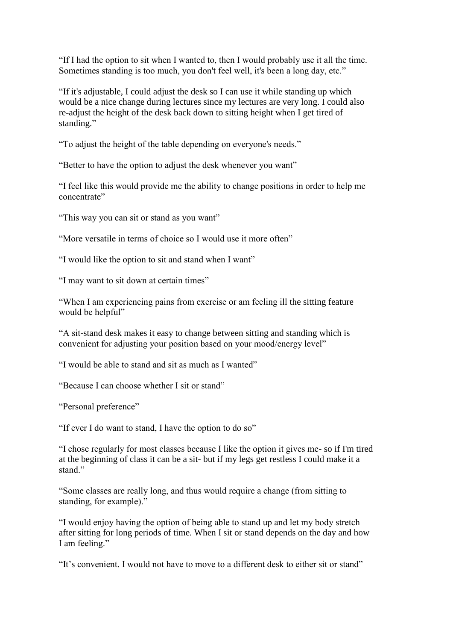"If I had the option to sit when I wanted to, then I would probably use it all the time. Sometimes standing is too much, you don't feel well, it's been a long day, etc."

"If it's adjustable, I could adjust the desk so I can use it while standing up which would be a nice change during lectures since my lectures are very long. I could also re-adjust the height of the desk back down to sitting height when I get tired of standing."

"To adjust the height of the table depending on everyone's needs."

"Better to have the option to adjust the desk whenever you want"

"I feel like this would provide me the ability to change positions in order to help me concentrate"

"This way you can sit or stand as you want"

"More versatile in terms of choice so I would use it more often"

"I would like the option to sit and stand when I want"

"I may want to sit down at certain times"

"When I am experiencing pains from exercise or am feeling ill the sitting feature would be helpful"

"A sit-stand desk makes it easy to change between sitting and standing which is convenient for adjusting your position based on your mood/energy level"

"I would be able to stand and sit as much as I wanted"

"Because I can choose whether I sit or stand"

"Personal preference"

"If ever I do want to stand, I have the option to do so"

"I chose regularly for most classes because I like the option it gives me- so if I'm tired at the beginning of class it can be a sit- but if my legs get restless I could make it a stand."

"Some classes are really long, and thus would require a change (from sitting to standing, for example)."

"I would enjoy having the option of being able to stand up and let my body stretch after sitting for long periods of time. When I sit or stand depends on the day and how I am feeling."

"It's convenient. I would not have to move to a different desk to either sit or stand"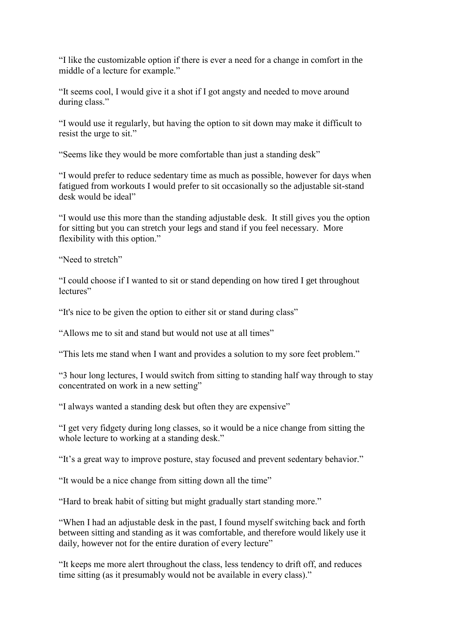"I like the customizable option if there is ever a need for a change in comfort in the middle of a lecture for example."

"It seems cool, I would give it a shot if I got angsty and needed to move around during class."

"I would use it regularly, but having the option to sit down may make it difficult to resist the urge to sit."

"Seems like they would be more comfortable than just a standing desk"

"I would prefer to reduce sedentary time as much as possible, however for days when fatigued from workouts I would prefer to sit occasionally so the adjustable sit-stand desk would be ideal"

"I would use this more than the standing adjustable desk. It still gives you the option for sitting but you can stretch your legs and stand if you feel necessary. More flexibility with this option."

"Need to stretch"

"I could choose if I wanted to sit or stand depending on how tired I get throughout lectures"

"It's nice to be given the option to either sit or stand during class"

"Allows me to sit and stand but would not use at all times"

"This lets me stand when I want and provides a solution to my sore feet problem."

"3 hour long lectures, I would switch from sitting to standing half way through to stay concentrated on work in a new setting"

"I always wanted a standing desk but often they are expensive"

"I get very fidgety during long classes, so it would be a nice change from sitting the whole lecture to working at a standing desk."

"It's a great way to improve posture, stay focused and prevent sedentary behavior."

"It would be a nice change from sitting down all the time"

"Hard to break habit of sitting but might gradually start standing more."

"When I had an adjustable desk in the past, I found myself switching back and forth between sitting and standing as it was comfortable, and therefore would likely use it daily, however not for the entire duration of every lecture"

"It keeps me more alert throughout the class, less tendency to drift off, and reduces time sitting (as it presumably would not be available in every class)."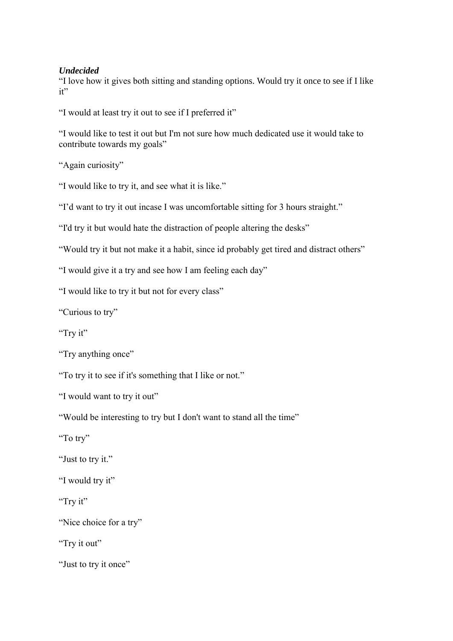## *Undecided*

"I love how it gives both sitting and standing options. Would try it once to see if I like it"

"I would at least try it out to see if I preferred it"

"I would like to test it out but I'm not sure how much dedicated use it would take to contribute towards my goals"

"Again curiosity"

"I would like to try it, and see what it is like."

"I'd want to try it out incase I was uncomfortable sitting for 3 hours straight."

"I'd try it but would hate the distraction of people altering the desks"

"Would try it but not make it a habit, since id probably get tired and distract others"

"I would give it a try and see how I am feeling each day"

"I would like to try it but not for every class"

"Curious to try"

"Try it"

"Try anything once"

"To try it to see if it's something that I like or not."

"I would want to try it out"

"Would be interesting to try but I don't want to stand all the time"

"To try"

"Just to try it."

"I would try it"

"Try it"

"Nice choice for a try"

"Try it out"

"Just to try it once"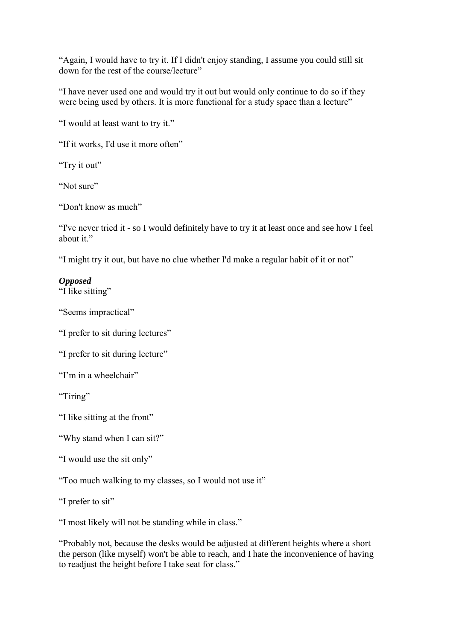"Again, I would have to try it. If I didn't enjoy standing, I assume you could still sit down for the rest of the course/lecture"

"I have never used one and would try it out but would only continue to do so if they were being used by others. It is more functional for a study space than a lecture"

"I would at least want to try it."

"If it works, I'd use it more often"

"Try it out"

"Not sure"

"Don't know as much"

"I've never tried it - so I would definitely have to try it at least once and see how I feel about it."

"I might try it out, but have no clue whether I'd make a regular habit of it or not"

## *Opposed*

"I like sitting"

"Seems impractical"

"I prefer to sit during lectures"

"I prefer to sit during lecture"

"I'm in a wheelchair"

"Tiring"

"I like sitting at the front"

"Why stand when I can sit?"

```
"I would use the sit only"
```
"Too much walking to my classes, so I would not use it"

"I prefer to sit"

"I most likely will not be standing while in class."

"Probably not, because the desks would be adjusted at different heights where a short the person (like myself) won't be able to reach, and I hate the inconvenience of having to readjust the height before I take seat for class."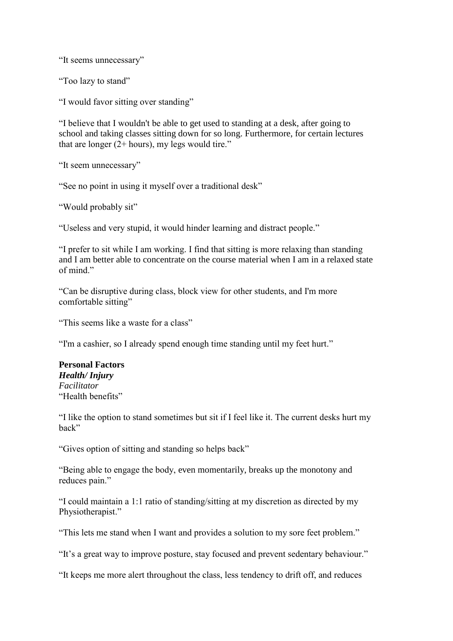"It seems unnecessary"

"Too lazy to stand"

"I would favor sitting over standing"

"I believe that I wouldn't be able to get used to standing at a desk, after going to school and taking classes sitting down for so long. Furthermore, for certain lectures that are longer (2+ hours), my legs would tire."

"It seem unnecessary"

"See no point in using it myself over a traditional desk"

"Would probably sit"

"Useless and very stupid, it would hinder learning and distract people."

"I prefer to sit while I am working. I find that sitting is more relaxing than standing and I am better able to concentrate on the course material when I am in a relaxed state of mind."

"Can be disruptive during class, block view for other students, and I'm more comfortable sitting"

"This seems like a waste for a class"

"I'm a cashier, so I already spend enough time standing until my feet hurt."

**Personal Factors** *Health/ Injury Facilitator*  "Health benefits"

"I like the option to stand sometimes but sit if I feel like it. The current desks hurt my back"

"Gives option of sitting and standing so helps back"

"Being able to engage the body, even momentarily, breaks up the monotony and reduces pain."

"I could maintain a 1:1 ratio of standing/sitting at my discretion as directed by my Physiotherapist."

"This lets me stand when I want and provides a solution to my sore feet problem."

"It's a great way to improve posture, stay focused and prevent sedentary behaviour."

"It keeps me more alert throughout the class, less tendency to drift off, and reduces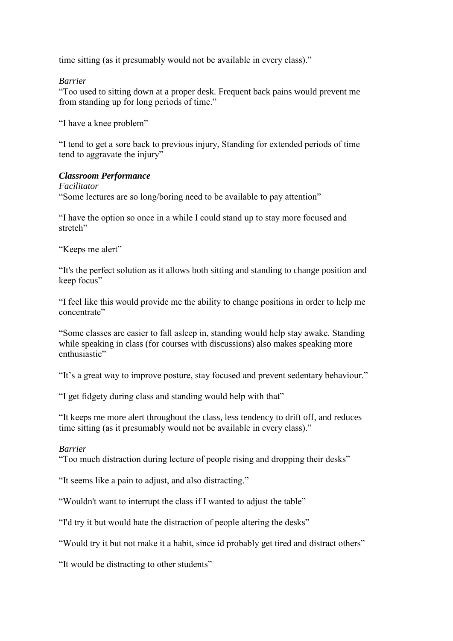time sitting (as it presumably would not be available in every class)."

#### *Barrier*

"Too used to sitting down at a proper desk. Frequent back pains would prevent me from standing up for long periods of time."

"I have a knee problem"

"I tend to get a sore back to previous injury, Standing for extended periods of time tend to aggravate the injury"

## *Classroom Performance*

*Facilitator* "Some lectures are so long/boring need to be available to pay attention"

"I have the option so once in a while I could stand up to stay more focused and stretch"

"Keeps me alert"

"It's the perfect solution as it allows both sitting and standing to change position and keep focus"

"I feel like this would provide me the ability to change positions in order to help me concentrate"

"Some classes are easier to fall asleep in, standing would help stay awake. Standing while speaking in class (for courses with discussions) also makes speaking more enthusiastic"

"It's a great way to improve posture, stay focused and prevent sedentary behaviour."

"I get fidgety during class and standing would help with that"

"It keeps me more alert throughout the class, less tendency to drift off, and reduces time sitting (as it presumably would not be available in every class)."

#### *Barrier*

"Too much distraction during lecture of people rising and dropping their desks"

"It seems like a pain to adjust, and also distracting."

"Wouldn't want to interrupt the class if I wanted to adjust the table"

"I'd try it but would hate the distraction of people altering the desks"

"Would try it but not make it a habit, since id probably get tired and distract others"

"It would be distracting to other students"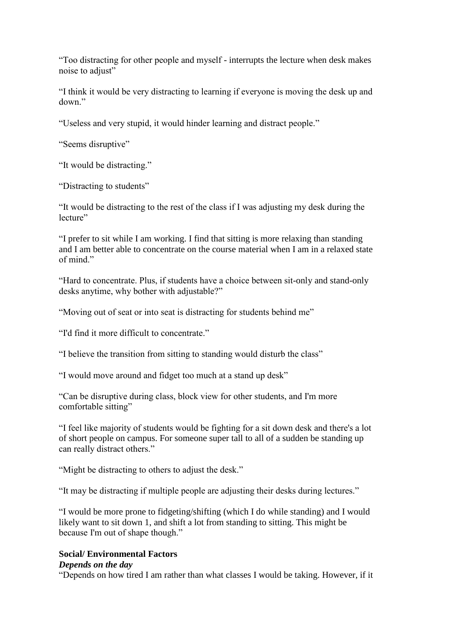"Too distracting for other people and myself - interrupts the lecture when desk makes noise to adjust"

"I think it would be very distracting to learning if everyone is moving the desk up and down."

"Useless and very stupid, it would hinder learning and distract people."

"Seems disruptive"

"It would be distracting."

"Distracting to students"

"It would be distracting to the rest of the class if I was adjusting my desk during the lecture"

"I prefer to sit while I am working. I find that sitting is more relaxing than standing and I am better able to concentrate on the course material when I am in a relaxed state of mind."

"Hard to concentrate. Plus, if students have a choice between sit-only and stand-only desks anytime, why bother with adjustable?"

"Moving out of seat or into seat is distracting for students behind me"

"I'd find it more difficult to concentrate."

"I believe the transition from sitting to standing would disturb the class"

"I would move around and fidget too much at a stand up desk"

"Can be disruptive during class, block view for other students, and I'm more comfortable sitting"

"I feel like majority of students would be fighting for a sit down desk and there's a lot of short people on campus. For someone super tall to all of a sudden be standing up can really distract others."

"Might be distracting to others to adjust the desk."

"It may be distracting if multiple people are adjusting their desks during lectures."

"I would be more prone to fidgeting/shifting (which I do while standing) and I would likely want to sit down 1, and shift a lot from standing to sitting. This might be because I'm out of shape though."

## **Social/ Environmental Factors**

#### *Depends on the day*

"Depends on how tired I am rather than what classes I would be taking. However, if it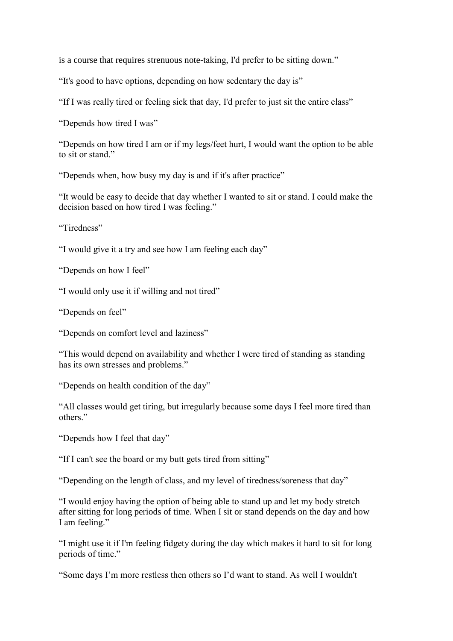is a course that requires strenuous note-taking, I'd prefer to be sitting down."

"It's good to have options, depending on how sedentary the day is"

"If I was really tired or feeling sick that day, I'd prefer to just sit the entire class"

"Depends how tired I was"

"Depends on how tired I am or if my legs/feet hurt, I would want the option to be able to sit or stand."

"Depends when, how busy my day is and if it's after practice"

"It would be easy to decide that day whether I wanted to sit or stand. I could make the decision based on how tired I was feeling."

"Tiredness"

"I would give it a try and see how I am feeling each day"

"Depends on how I feel"

"I would only use it if willing and not tired"

"Depends on feel"

"Depends on comfort level and laziness"

"This would depend on availability and whether I were tired of standing as standing has its own stresses and problems."

"Depends on health condition of the day"

"All classes would get tiring, but irregularly because some days I feel more tired than others<sup>"</sup>

"Depends how I feel that day"

"If I can't see the board or my butt gets tired from sitting"

"Depending on the length of class, and my level of tiredness/soreness that day"

"I would enjoy having the option of being able to stand up and let my body stretch after sitting for long periods of time. When I sit or stand depends on the day and how I am feeling."

"I might use it if I'm feeling fidgety during the day which makes it hard to sit for long periods of time."

"Some days I'm more restless then others so I'd want to stand. As well I wouldn't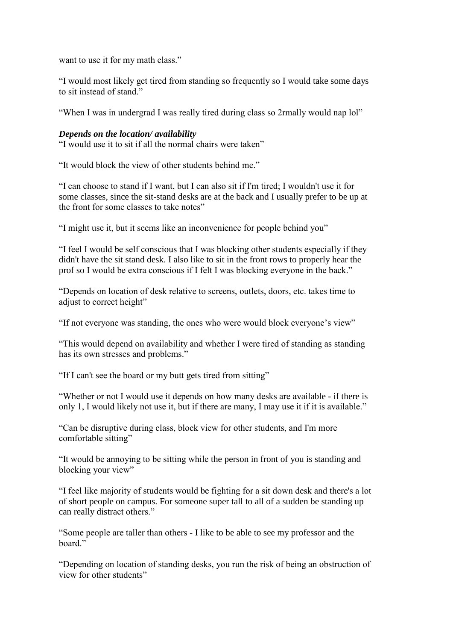want to use it for my math class."

"I would most likely get tired from standing so frequently so I would take some days to sit instead of stand."

"When I was in undergrad I was really tired during class so 2rmally would nap lol"

## *Depends on the location/ availability*

"I would use it to sit if all the normal chairs were taken"

"It would block the view of other students behind me."

"I can choose to stand if I want, but I can also sit if I'm tired; I wouldn't use it for some classes, since the sit-stand desks are at the back and I usually prefer to be up at the front for some classes to take notes"

"I might use it, but it seems like an inconvenience for people behind you"

"I feel I would be self conscious that I was blocking other students especially if they didn't have the sit stand desk. I also like to sit in the front rows to properly hear the prof so I would be extra conscious if I felt I was blocking everyone in the back."

"Depends on location of desk relative to screens, outlets, doors, etc. takes time to adjust to correct height"

"If not everyone was standing, the ones who were would block everyone's view"

"This would depend on availability and whether I were tired of standing as standing has its own stresses and problems."

"If I can't see the board or my butt gets tired from sitting"

"Whether or not I would use it depends on how many desks are available - if there is only 1, I would likely not use it, but if there are many, I may use it if it is available."

"Can be disruptive during class, block view for other students, and I'm more comfortable sitting"

"It would be annoying to be sitting while the person in front of you is standing and blocking your view"

"I feel like majority of students would be fighting for a sit down desk and there's a lot of short people on campus. For someone super tall to all of a sudden be standing up can really distract others."

"Some people are taller than others - I like to be able to see my professor and the board"

"Depending on location of standing desks, you run the risk of being an obstruction of view for other students"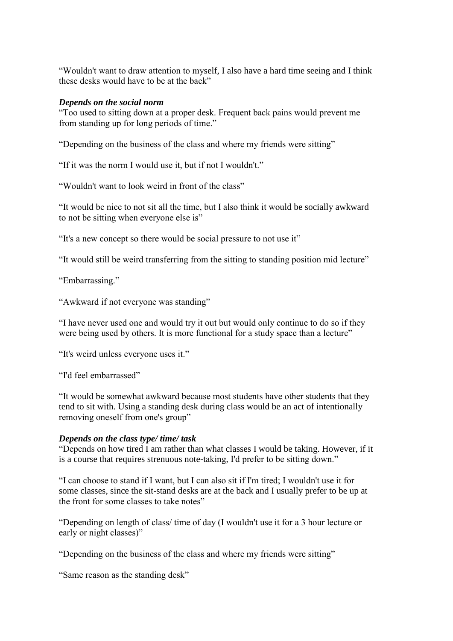"Wouldn't want to draw attention to myself, I also have a hard time seeing and I think these desks would have to be at the back"

## *Depends on the social norm*

"Too used to sitting down at a proper desk. Frequent back pains would prevent me from standing up for long periods of time."

"Depending on the business of the class and where my friends were sitting"

"If it was the norm I would use it, but if not I wouldn't."

"Wouldn't want to look weird in front of the class"

"It would be nice to not sit all the time, but I also think it would be socially awkward to not be sitting when everyone else is"

"It's a new concept so there would be social pressure to not use it"

"It would still be weird transferring from the sitting to standing position mid lecture"

"Embarrassing."

"Awkward if not everyone was standing"

"I have never used one and would try it out but would only continue to do so if they were being used by others. It is more functional for a study space than a lecture"

"It's weird unless everyone uses it."

"I'd feel embarrassed"

"It would be somewhat awkward because most students have other students that they tend to sit with. Using a standing desk during class would be an act of intentionally removing oneself from one's group"

## *Depends on the class type/ time/ task*

"Depends on how tired I am rather than what classes I would be taking. However, if it is a course that requires strenuous note-taking, I'd prefer to be sitting down."

"I can choose to stand if I want, but I can also sit if I'm tired; I wouldn't use it for some classes, since the sit-stand desks are at the back and I usually prefer to be up at the front for some classes to take notes"

"Depending on length of class/ time of day (I wouldn't use it for a 3 hour lecture or early or night classes)"

"Depending on the business of the class and where my friends were sitting"

"Same reason as the standing desk"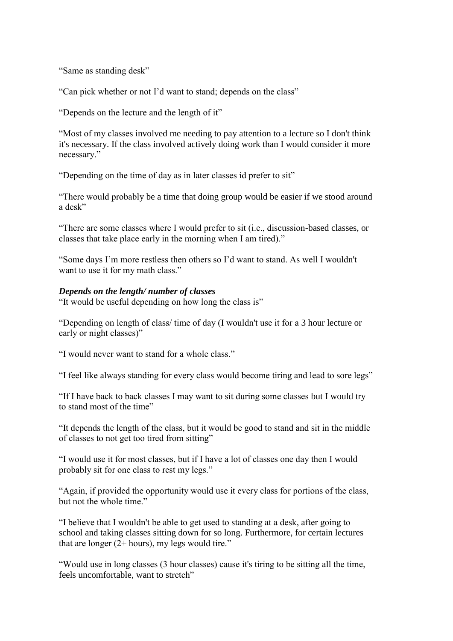"Same as standing desk"

"Can pick whether or not I'd want to stand; depends on the class"

"Depends on the lecture and the length of it"

"Most of my classes involved me needing to pay attention to a lecture so I don't think it's necessary. If the class involved actively doing work than I would consider it more necessary."

"Depending on the time of day as in later classes id prefer to sit"

"There would probably be a time that doing group would be easier if we stood around a desk"

"There are some classes where I would prefer to sit (i.e., discussion-based classes, or classes that take place early in the morning when I am tired)."

"Some days I'm more restless then others so I'd want to stand. As well I wouldn't want to use it for my math class."

## *Depends on the length/ number of classes*

"It would be useful depending on how long the class is"

"Depending on length of class/ time of day (I wouldn't use it for a 3 hour lecture or early or night classes)"

"I would never want to stand for a whole class."

"I feel like always standing for every class would become tiring and lead to sore legs"

"If I have back to back classes I may want to sit during some classes but I would try to stand most of the time"

"It depends the length of the class, but it would be good to stand and sit in the middle of classes to not get too tired from sitting"

"I would use it for most classes, but if I have a lot of classes one day then I would probably sit for one class to rest my legs."

"Again, if provided the opportunity would use it every class for portions of the class, but not the whole time."

"I believe that I wouldn't be able to get used to standing at a desk, after going to school and taking classes sitting down for so long. Furthermore, for certain lectures that are longer  $(2 + hours)$ , my legs would tire."

"Would use in long classes (3 hour classes) cause it's tiring to be sitting all the time, feels uncomfortable, want to stretch"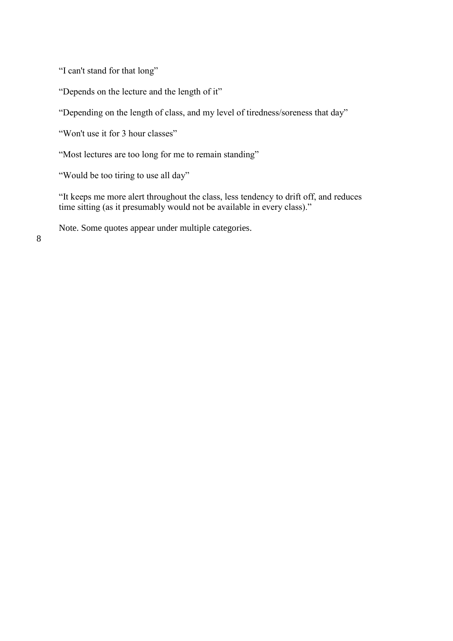"I can't stand for that long"

"Depends on the lecture and the length of it"

"Depending on the length of class, and my level of tiredness/soreness that day"

"Won't use it for 3 hour classes"

"Most lectures are too long for me to remain standing"

"Would be too tiring to use all day"

"It keeps me more alert throughout the class, less tendency to drift off, and reduces time sitting (as it presumably would not be available in every class)."

Note. Some quotes appear under multiple categories.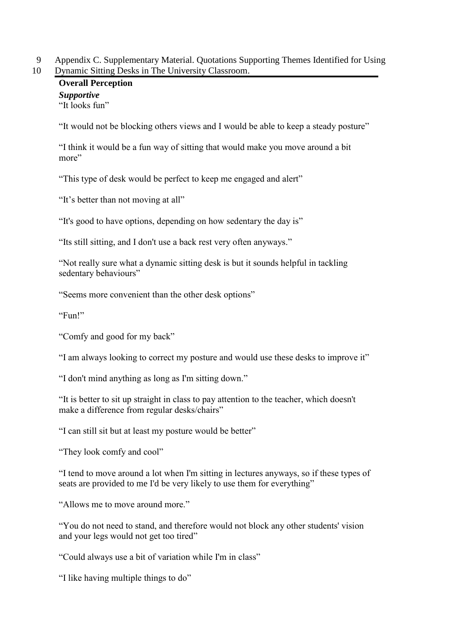9 Appendix C. Supplementary Material. Quotations Supporting Themes Identified for Using 10 Dynamic Sitting Desks in The University Classroom.

# **Overall Perception** *Supportive*

"It looks fun"

"It would not be blocking others views and I would be able to keep a steady posture"

"I think it would be a fun way of sitting that would make you move around a bit more"

"This type of desk would be perfect to keep me engaged and alert"

"It's better than not moving at all"

"It's good to have options, depending on how sedentary the day is"

"Its still sitting, and I don't use a back rest very often anyways."

"Not really sure what a dynamic sitting desk is but it sounds helpful in tackling sedentary behaviours"

"Seems more convenient than the other desk options"

"Fun!"

"Comfy and good for my back"

"I am always looking to correct my posture and would use these desks to improve it"

"I don't mind anything as long as I'm sitting down."

"It is better to sit up straight in class to pay attention to the teacher, which doesn't make a difference from regular desks/chairs"

"I can still sit but at least my posture would be better"

"They look comfy and cool"

"I tend to move around a lot when I'm sitting in lectures anyways, so if these types of seats are provided to me I'd be very likely to use them for everything"

"Allows me to move around more."

"You do not need to stand, and therefore would not block any other students' vision and your legs would not get too tired"

"Could always use a bit of variation while I'm in class"

"I like having multiple things to do"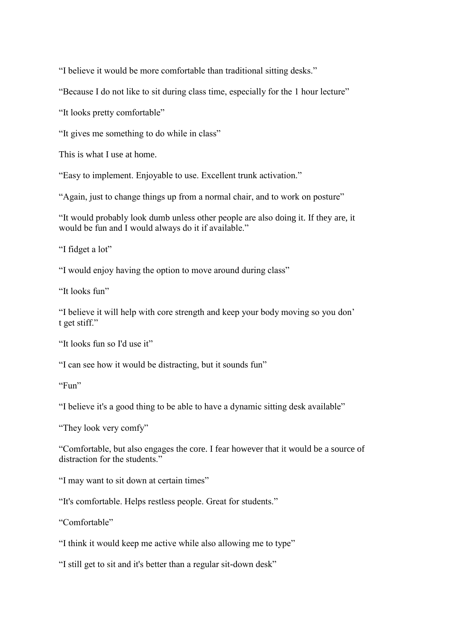"I believe it would be more comfortable than traditional sitting desks."

"Because I do not like to sit during class time, especially for the 1 hour lecture"

"It looks pretty comfortable"

"It gives me something to do while in class"

This is what I use at home.

"Easy to implement. Enjoyable to use. Excellent trunk activation."

"Again, just to change things up from a normal chair, and to work on posture"

"It would probably look dumb unless other people are also doing it. If they are, it would be fun and I would always do it if available."

"I fidget a lot"

"I would enjoy having the option to move around during class"

"It looks fun"

"I believe it will help with core strength and keep your body moving so you don' t get stiff."

"It looks fun so I'd use it"

"I can see how it would be distracting, but it sounds fun"

"Fun"

"I believe it's a good thing to be able to have a dynamic sitting desk available"

"They look very comfy"

"Comfortable, but also engages the core. I fear however that it would be a source of distraction for the students."

"I may want to sit down at certain times"

"It's comfortable. Helps restless people. Great for students."

"Comfortable"

"I think it would keep me active while also allowing me to type"

"I still get to sit and it's better than a regular sit-down desk"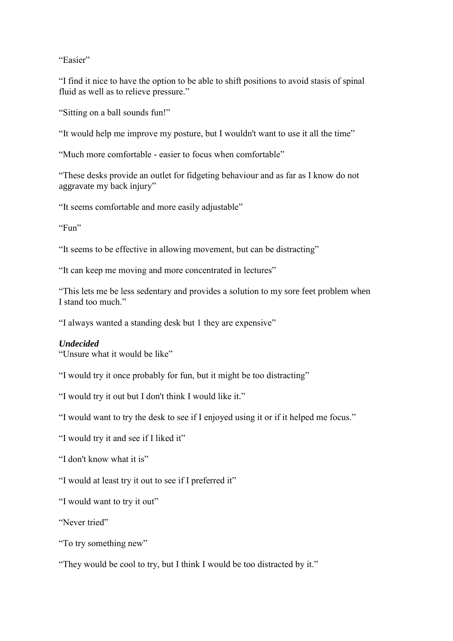"Easier"

"I find it nice to have the option to be able to shift positions to avoid stasis of spinal fluid as well as to relieve pressure."

"Sitting on a ball sounds fun!"

"It would help me improve my posture, but I wouldn't want to use it all the time"

"Much more comfortable - easier to focus when comfortable"

"These desks provide an outlet for fidgeting behaviour and as far as I know do not aggravate my back injury"

"It seems comfortable and more easily adjustable"

"Fun"

"It seems to be effective in allowing movement, but can be distracting"

"It can keep me moving and more concentrated in lectures"

"This lets me be less sedentary and provides a solution to my sore feet problem when I stand too much."

"I always wanted a standing desk but 1 they are expensive"

## *Undecided*

"Unsure what it would be like"

"I would try it once probably for fun, but it might be too distracting"

"I would try it out but I don't think I would like it."

"I would want to try the desk to see if I enjoyed using it or if it helped me focus."

"I would try it and see if I liked it"

"I don't know what it is"

"I would at least try it out to see if I preferred it"

"I would want to try it out"

"Never tried"

"To try something new"

"They would be cool to try, but I think I would be too distracted by it."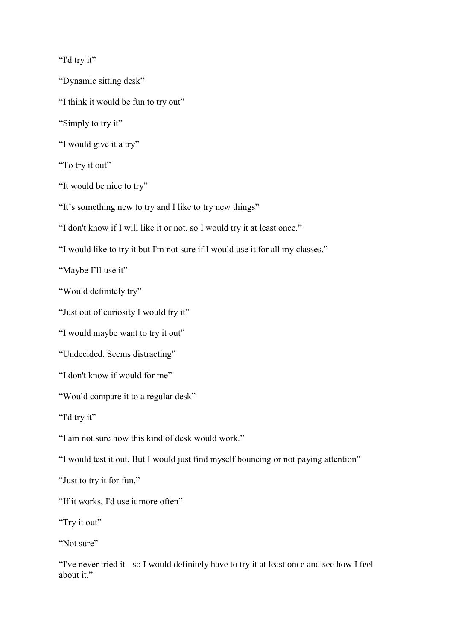"I'd try it"

"Dynamic sitting desk"

"I think it would be fun to try out"

"Simply to try it"

"I would give it a try"

"To try it out"

"It would be nice to try"

"It's something new to try and I like to try new things"

"I don't know if I will like it or not, so I would try it at least once."

"I would like to try it but I'm not sure if I would use it for all my classes."

"Maybe I'll use it"

"Would definitely try"

"Just out of curiosity I would try it"

"I would maybe want to try it out"

"Undecided. Seems distracting"

"I don't know if would for me"

"Would compare it to a regular desk"

"I'd try it"

"I am not sure how this kind of desk would work."

"I would test it out. But I would just find myself bouncing or not paying attention"

"Just to try it for fun."

"If it works, I'd use it more often"

"Try it out"

"Not sure"

"I've never tried it - so I would definitely have to try it at least once and see how I feel about it."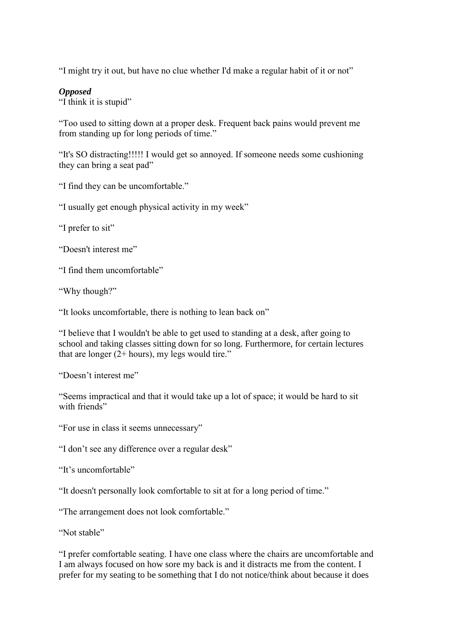"I might try it out, but have no clue whether I'd make a regular habit of it or not"

## *Opposed*

"I think it is stupid"

"Too used to sitting down at a proper desk. Frequent back pains would prevent me from standing up for long periods of time."

"It's SO distracting!!!!! I would get so annoyed. If someone needs some cushioning they can bring a seat pad"

"I find they can be uncomfortable."

"I usually get enough physical activity in my week"

"I prefer to sit"

"Doesn't interest me"

"I find them uncomfortable"

"Why though?"

"It looks uncomfortable, there is nothing to lean back on"

"I believe that I wouldn't be able to get used to standing at a desk, after going to school and taking classes sitting down for so long. Furthermore, for certain lectures that are longer  $(2 + hours)$ , my legs would tire."

"Doesn't interest me"

"Seems impractical and that it would take up a lot of space; it would be hard to sit with friends"

"For use in class it seems unnecessary"

"I don't see any difference over a regular desk"

"It's uncomfortable"

"It doesn't personally look comfortable to sit at for a long period of time."

"The arrangement does not look comfortable."

"Not stable"

"I prefer comfortable seating. I have one class where the chairs are uncomfortable and I am always focused on how sore my back is and it distracts me from the content. I prefer for my seating to be something that I do not notice/think about because it does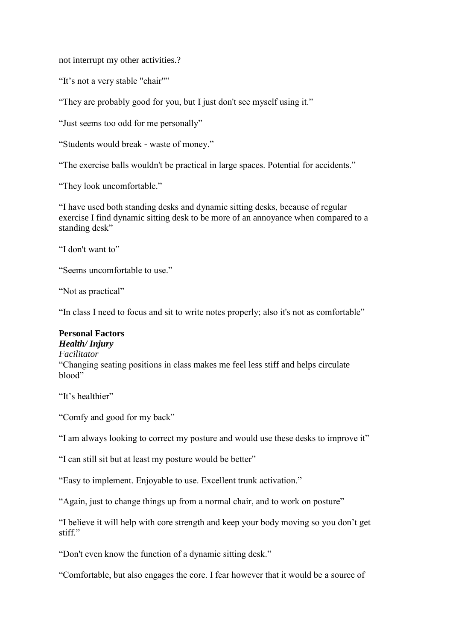not interrupt my other activities.?

"It's not a very stable "chair""

"They are probably good for you, but I just don't see myself using it."

"Just seems too odd for me personally"

"Students would break - waste of money."

"The exercise balls wouldn't be practical in large spaces. Potential for accidents."

"They look uncomfortable."

"I have used both standing desks and dynamic sitting desks, because of regular exercise I find dynamic sitting desk to be more of an annoyance when compared to a standing desk"

"I don't want to"

"Seems uncomfortable to use."

"Not as practical"

"In class I need to focus and sit to write notes properly; also it's not as comfortable"

## **Personal Factors**

*Health/ Injury*

*Facilitator* "Changing seating positions in class makes me feel less stiff and helps circulate blood"

"It's healthier"

"Comfy and good for my back"

"I am always looking to correct my posture and would use these desks to improve it"

"I can still sit but at least my posture would be better"

"Easy to implement. Enjoyable to use. Excellent trunk activation."

"Again, just to change things up from a normal chair, and to work on posture"

"I believe it will help with core strength and keep your body moving so you don't get stiff."

"Don't even know the function of a dynamic sitting desk."

"Comfortable, but also engages the core. I fear however that it would be a source of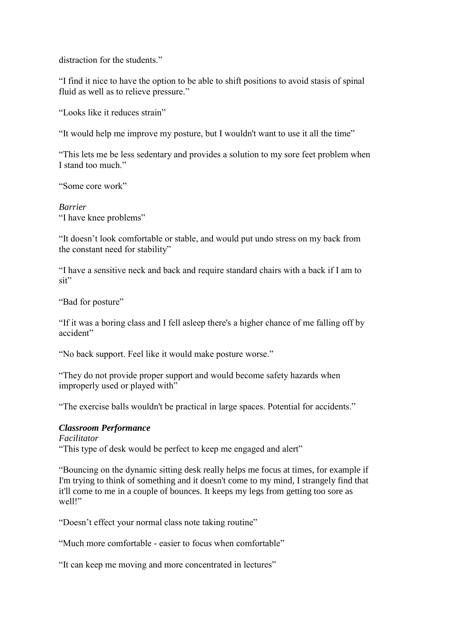distraction for the students."

"I find it nice to have the option to be able to shift positions to avoid stasis of spinal fluid as well as to relieve pressure."

"Looks like it reduces strain"

"It would help me improve my posture, but I wouldn't want to use it all the time"

"This lets me be less sedentary and provides a solution to my sore feet problem when I stand too much."

"Some core work"

*Barrier* "I have knee problems"

"It doesn't look comfortable or stable, and would put undo stress on my back from the constant need for stability"

"I have a sensitive neck and back and require standard chairs with a back if I am to sit"

"Bad for posture"

"If it was a boring class and I fell asleep there's a higher chance of me falling off by accident"

"No back support. Feel like it would make posture worse."

"They do not provide proper support and would become safety hazards when improperly used or played with"

"The exercise balls wouldn't be practical in large spaces. Potential for accidents."

## *Classroom Performance*

*Facilitator* "This type of desk would be perfect to keep me engaged and alert"

"Bouncing on the dynamic sitting desk really helps me focus at times, for example if I'm trying to think of something and it doesn't come to my mind, I strangely find that it'll come to me in a couple of bounces. It keeps my legs from getting too sore as well!"

"Doesn't effect your normal class note taking routine"

"Much more comfortable - easier to focus when comfortable"

"It can keep me moving and more concentrated in lectures"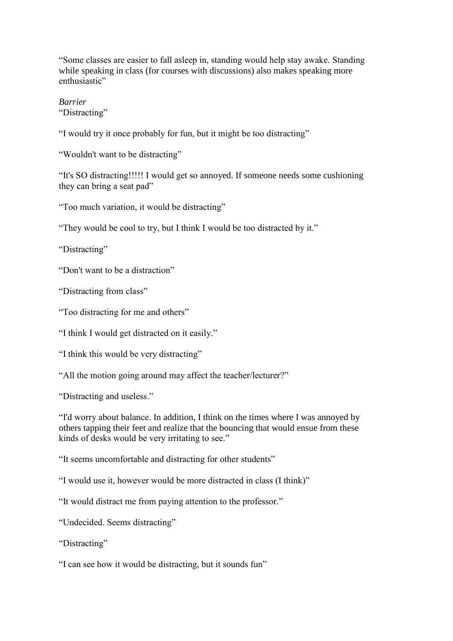"Some classes are easier to fall asleep in, standing would help stay awake. Standing while speaking in class (for courses with discussions) also makes speaking more enthusiastic"

*Barrier* "Distracting"

"I would try it once probably for fun, but it might be too distracting"

"Wouldn't want to be distracting"

"It's SO distracting!!!!! I would get so annoyed. If someone needs some cushioning they can bring a seat pad"

"Too much variation, it would be distracting"

"They would be cool to try, but I think I would be too distracted by it."

"Distracting"

"Don't want to be a distraction"

"Distracting from class"

"Too distracting for me and others"

"I think I would get distracted on it easily."

"I think this would be very distracting"

"All the motion going around may affect the teacher/lecturer?"

"Distracting and useless."

"I'd worry about balance. In addition, I think on the times where I was annoyed by others tapping their feet and realize that the bouncing that would ensue from these kinds of desks would be very irritating to see."

"It seems uncomfortable and distracting for other students"

"I would use it, however would be more distracted in class (I think)"

"It would distract me from paying attention to the professor."

"Undecided. Seems distracting"

"Distracting"

"I can see how it would be distracting, but it sounds fun"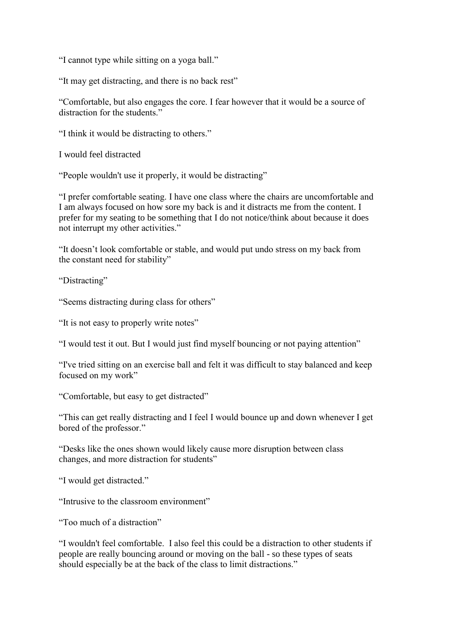"I cannot type while sitting on a yoga ball."

"It may get distracting, and there is no back rest"

"Comfortable, but also engages the core. I fear however that it would be a source of distraction for the students."

"I think it would be distracting to others."

I would feel distracted

"People wouldn't use it properly, it would be distracting"

"I prefer comfortable seating. I have one class where the chairs are uncomfortable and I am always focused on how sore my back is and it distracts me from the content. I prefer for my seating to be something that I do not notice/think about because it does not interrupt my other activities."

"It doesn't look comfortable or stable, and would put undo stress on my back from the constant need for stability"

"Distracting"

"Seems distracting during class for others"

"It is not easy to properly write notes"

"I would test it out. But I would just find myself bouncing or not paying attention"

"I've tried sitting on an exercise ball and felt it was difficult to stay balanced and keep focused on my work"

"Comfortable, but easy to get distracted"

"This can get really distracting and I feel I would bounce up and down whenever I get bored of the professor."

"Desks like the ones shown would likely cause more disruption between class changes, and more distraction for students"

"I would get distracted."

"Intrusive to the classroom environment"

"Too much of a distraction"

"I wouldn't feel comfortable. I also feel this could be a distraction to other students if people are really bouncing around or moving on the ball - so these types of seats should especially be at the back of the class to limit distractions."